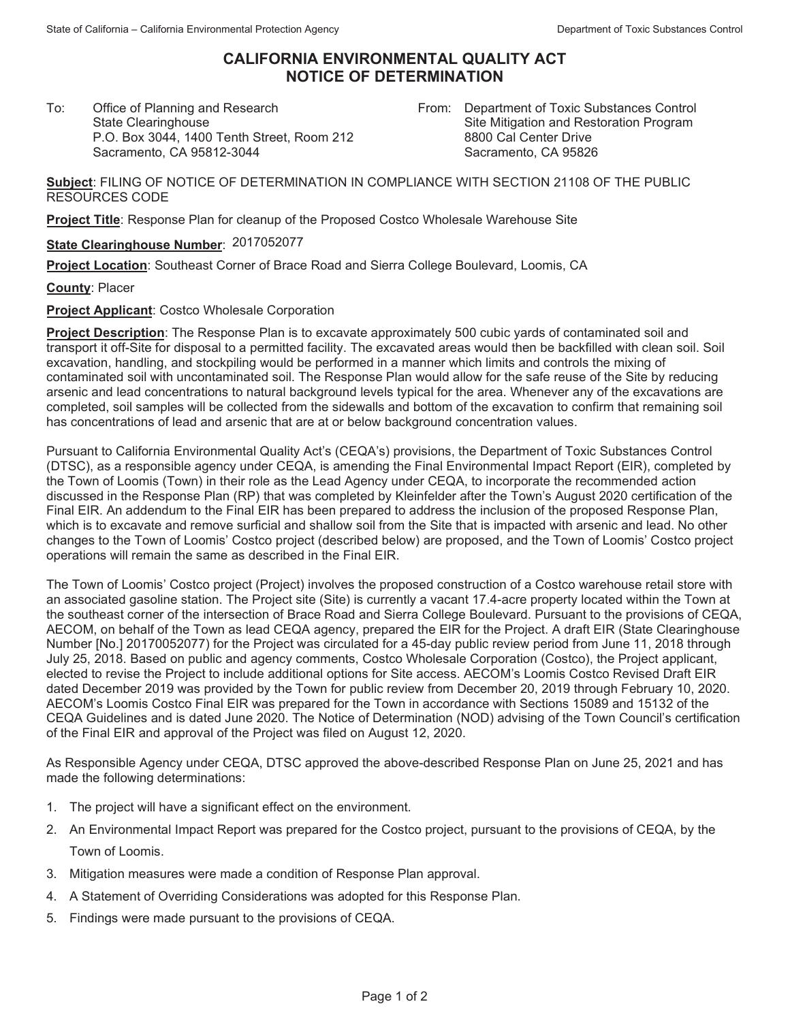## **CALIFORNIA ENVIRONMENTAL QUALITY ACT NOTICE OF DETERMINATION**

To:Office of Planning and Research State Clearinghouse P.O. Box 3044, 1400 Tenth Street, Room 212 Sacramento, CA 95812-3044

From: Department of Toxic Substances Control Site Mitigation and Restoration Program 8800 Cal Center Drive Sacramento, CA 95826

**Subject**: FILING OF NOTICE OF DETERMINATION IN COMPLIANCE WITH SECTION 21108 OF THE PUBLIC RESOURCES CODE

**Project Title**: Response Plan for cleanup of the Proposed Costco Wholesale Warehouse Site

## **State Clearinghouse Number**: 2017052077

**Project Location**: Southeast Corner of Brace Road and Sierra College Boulevard, Loomis, CA

**County**: Placer

**Project Applicant**: Costco Wholesale Corporation

**Project Description**: The Response Plan is to excavate approximately 500 cubic yards of contaminated soil and transport it off-Site for disposal to a permitted facility. The excavated areas would then be backfilled with clean soil. Soil excavation, handling, and stockpiling would be performed in a manner which limits and controls the mixing of contaminated soil with uncontaminated soil. The Response Plan would allow for the safe reuse of the Site by reducing arsenic and lead concentrations to natural background levels typical for the area. Whenever any of the excavations are completed, soil samples will be collected from the sidewalls and bottom of the excavation to confirm that remaining soil has concentrations of lead and arsenic that are at or below background concentration values.

Pursuant to California Environmental Quality Act's (CEQA's) provisions, the Department of Toxic Substances Control (DTSC), as a responsible agency under CEQA, is amending the Final Environmental Impact Report (EIR), completed by the Town of Loomis (Town) in their role as the Lead Agency under CEQA, to incorporate the recommended action discussed in the Response Plan (RP) that was completed by Kleinfelder after the Town's August 2020 certification of the Final EIR. An addendum to the Final EIR has been prepared to address the inclusion of the proposed Response Plan, which is to excavate and remove surficial and shallow soil from the Site that is impacted with arsenic and lead. No other changes to the Town of Loomis' Costco project (described below) are proposed, and the Town of Loomis' Costco project operations will remain the same as described in the Final EIR.

The Town of Loomis' Costco project (Project) involves the proposed construction of a Costco warehouse retail store with an associated gasoline station. The Project site (Site) is currently a vacant 17.4-acre property located within the Town at the southeast corner of the intersection of Brace Road and Sierra College Boulevard. Pursuant to the provisions of CEQA, AECOM, on behalf of the Town as lead CEQA agency, prepared the EIR for the Project. A draft EIR (State Clearinghouse Number [No.] 20170052077) for the Project was circulated for a 45-day public review period from June 11, 2018 through July 25, 2018. Based on public and agency comments, Costco Wholesale Corporation (Costco), the Project applicant, elected to revise the Project to include additional options for Site access. AECOM's Loomis Costco Revised Draft EIR dated December 2019 was provided by the Town for public review from December 20, 2019 through February 10, 2020. AECOM's Loomis Costco Final EIR was prepared for the Town in accordance with Sections 15089 and 15132 of the CEQA Guidelines and is dated June 2020. The Notice of Determination (NOD) advising of the Town Council's certification of the Final EIR and approval of the Project was filed on August 12, 2020.

As Responsible Agency under CEQA, DTSC approved the above-described Response Plan on June 25, 2021 and has made the following determinations:

- 1. The project will have a significant effect on the environment.
- 2. An Environmental Impact Report was prepared for the Costco project, pursuant to the provisions of CEQA, by the Town of Loomis.
- 3. Mitigation measures were made a condition of Response Plan approval.
- 4. A Statement of Overriding Considerations was adopted for this Response Plan.
- 5. Findings were made pursuant to the provisions of CEQA.